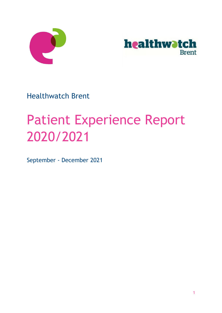



Healthwatch Brent

# Patient Experience Report 2020/2021

September - December 2021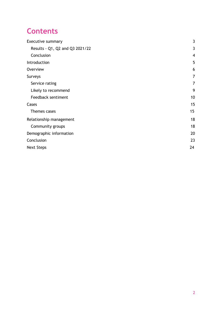## **Contents**

| <b>Executive summary</b>        | 3                       |
|---------------------------------|-------------------------|
| Results - Q1, Q2 and Q3 2021/22 | 3                       |
| Conclusion                      | $\overline{\mathbf{4}}$ |
| Introduction                    | 5                       |
| Overview                        | 6                       |
| Surveys                         | 7                       |
| Service rating                  | 7                       |
| Likely to recommend             | 9                       |
| Feedback sentiment              | 10                      |
| Cases                           | 15                      |
| Themes cases                    | 15                      |
| Relationship management         | 18                      |
| Community groups                | 18                      |
| Demographic information         | 20                      |
| Conclusion                      | 23                      |
| <b>Next Steps</b>               | 24                      |
|                                 |                         |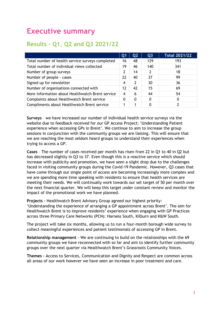# <span id="page-2-0"></span>**Executive summary**

### <span id="page-2-1"></span>**Results - Q1, Q2 and Q3 2021/22**

|                                                  | Q1 | Q <sub>2</sub> | Q <sub>3</sub> | <b>Total 2021/22</b> |
|--------------------------------------------------|----|----------------|----------------|----------------------|
| Total number of health service surveys completed | 16 | 48             | 129            | 193                  |
| Total number of individual views collected       | 19 | 46             | 140            | 341                  |
| Number of group surveys                          | 2  | 14             | 2              | 18                   |
| Number of people - cases                         | 22 | 40             | 37             | 99                   |
| Signed up for newsletter                         | 4  | 2              | 30             | 36                   |
| Number of organisations connected with           | 12 | 42             | 15             | 69                   |
| More information about Healthwatch Brent service | 4  | 6              | 44             | 54                   |
| Complaints about Healthwatch Brent service       | 0  | 0              | 0              | 0                    |
| Compliments about Healthwatch Brent service      |    |                | 0              |                      |

**Surveys** – we have increased our number of individual health service surveys via the website due to feedback received for our GP Access Project: 'Understanding Patient experience when accessing GPs in Brent'. We continue to aim to increase the group sessions in conjunction with the community groups we are liaising. This will ensure that we are reaching the most seldom heard groups to understand their experiences when trying to access a GP.

**Cases** – The number of cases received per month has risen from 22 in Q1 to 40 in Q2 but has decreased slightly in Q3 to 37. Even though this is a reactive service which should increase with publicity and promotion, we have seen a slight drop due to the challenges faced in visiting community groups during the Covid-19 Pandemic. However, Q3 cases that have come through our single point of access are becoming increasingly more complex and we are spending more time speaking with residents to ensure that health services are meeting their needs. We will continually work towards our set target of 50 per month over the next financial quarter. We will keep this target under constant review and monitor the impact of the promotional work we have planned.

**Projects –** Healthwatch Brent Advisory Group agreed our highest priority: 'Understanding the experience of arranging a GP appointment across Brent'. The aim for Healthwatch Brent is to improve residents' experience when engaging with GP Practices across three Primary Care Networks (PCN): Harness South, Kilburn and K&W South.

The project will take six months, allowing us to run a four-month borough wide survey to collect meaningful experiences and patient testimonials of accessing GP in Brent.

**Relationship management** - We are continuing to build on the relationships with the 69 community groups we have reconnected with so far and aim to identify further community groups over the next quarter via Healthwatch Brent's Grassroots Community Voices.

**Themes –** Access to Services, Communication and Dignity and Respect are common across all areas of our work however we have seen an increase in poor treatment and care.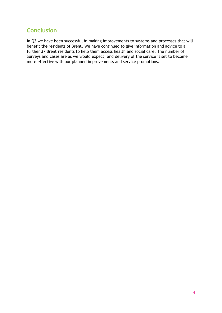### <span id="page-3-0"></span>**Conclusion**

In Q3 we have been successful in making improvements to systems and processes that will benefit the residents of Brent. We have continued to give information and advice to a further 37 Brent residents to help them access health and social care. The number of Surveys and cases are as we would expect, and delivery of the service is set to become more effective with our planned improvements and service promotions.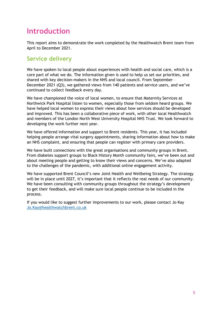## <span id="page-4-0"></span>**Introduction**

This report aims to demonstrate the work completed by the Healthwatch Brent team from April to December 2021.

### **Service delivery**

We have spoken to local people about experiences with health and social care, which is a core part of what we do. The information given is used to help us set our priorities, and shared with key decision-makers in the NHS and local council. From September – December 2021 (Q3), we gathered views from 140 patients and service users, and we've continued to collect feedback every day.

We have championed the voice of local women, to ensure that Maternity Services at Northwick Park Hospital listen to women, especially those from seldom heard groups. We have helped local women to express their views about how services should be developed and improved. This has been a collaborative piece of work, with other local Healthwatch and members of the London North West University Hospital NHS Trust. We look forward to developing the work further next year.

We have offered information and support to Brent residents. This year, it has included helping people arrange vital surgery appointments, sharing information about how to make an NHS complaint, and ensuring that people can register with primary care providers.

We have built connections with the great organisations and community groups in Brent. From diabetes support groups to Black History Month community fairs, we've been out and about meeting people and getting to know their views and concerns. We've also adapted to the challenges of the pandemic, with additional online engagement activity.

We have supported Brent Council's new Joint Health and Wellbeing Strategy. The strategy will be in place until 2027, it's important that it reflects the real needs of our community. We have been consulting with community groups throughout the strategy's development to get their feedback, and will make sure local people continue to be included in the process.

If you would like to suggest further improvements to our work, please contact Jo Kay [Jo.Kay@healthwatchbrent.co.uk](mailto:Jo.Kay@healthwatchbrent.co.uk)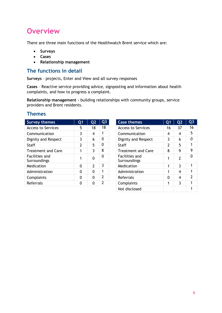# <span id="page-5-0"></span>**Overview**

There are three main functions of the Healthwatch Brent service which are:

- **Surveys**
- **Cases**
- **Relationship management**

#### **The functions in detail**

**Surveys** – projects, Enter and View and all survey responses

**Cases** – Reactive service providing advice, signposting and information about health complaints, and how to progress a complaint.

**Relationship management –** building relationships with community groups, service providers and Brent residents.

#### **Themes**

| <b>Survey themes</b>           | Q1       | Q <sub>2</sub> | Q <sub>3</sub> | <b>Case themes</b>                    | Q <sub>1</sub>          | Q <sub>2</sub> | Q <sub>3</sub> |
|--------------------------------|----------|----------------|----------------|---------------------------------------|-------------------------|----------------|----------------|
| <b>Access to Services</b>      | 5        | 18             | 18             | <b>Access to Services</b>             | 16                      | 37             | 16             |
| Communication                  | 3        | 4              | 1              | Communication                         | $\overline{\mathbf{4}}$ | 4              | 5              |
| Dignity and Respect            | 3        | 6              | 0              | Dignity and Respect                   | 3                       | 6              | $\Omega$       |
| <b>Staff</b>                   | 2        | 5              | 0              | Staff                                 | 2                       | 5              |                |
| <b>Treatment and Care</b>      |          | 3              | 8              | <b>Treatment and Care</b>             | 8                       | 9              | 9              |
| Facilities and<br>Surroundings |          | 0              | 0              | <b>Facilities and</b><br>Surroundings | 1                       | $\overline{2}$ | $\Omega$       |
| Medication                     | 0        | 2              | 3              | Medication                            | 1                       | 3              |                |
| Administration                 | $\Omega$ | $\mathbf 0$    | 1              | Administration                        | 1                       | 4              |                |
| Complaints                     | 0        | $\Omega$       | 2              | Referrals                             | $\Omega$                | 4              | $\mathcal{P}$  |
| Referrals                      | 0        | 0              | 2              | Complaints                            | 1                       | 3              |                |
|                                |          |                |                |                                       |                         |                |                |

| Q3             | <b>Case themes</b>             | Q1 | Q <sub>2</sub> | Q <sub>3</sub> |
|----------------|--------------------------------|----|----------------|----------------|
| 18             | <b>Access to Services</b>      | 16 | 37             | 16             |
| 1              | Communication                  | 4  | 4              | 5              |
| 0              | <b>Dignity and Respect</b>     | 3  | 6              | 0              |
| 0              | Staff                          | 2  | 5              | 1              |
| 8              | <b>Treatment and Care</b>      | 8  | 9              | 9              |
| 0              | Facilities and<br>Surroundings |    | 2              | n              |
| 3              | Medication                     | 1  | 3              | 1              |
| 1              | Administration                 |    | 4              | 1              |
| $\overline{2}$ | Referrals                      | O  | 4              | $\overline{2}$ |
| $\overline{2}$ | Complaints                     | 1  | 3              | 1              |
|                | Not disclosed                  |    |                |                |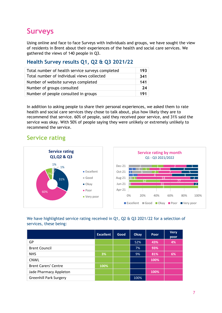# <span id="page-6-0"></span>**Surveys**

Using online and face to face Surveys with individuals and groups, we have sought the view of residents in Brent about their experiences of the health and social care services. We gathered the views of 140 people in Q3.

#### **Health Survey results Q1, Q2 & Q3 2021/22**

| Total number of health service surveys completed | 193 |
|--------------------------------------------------|-----|
| Total number of individual views collected       | 341 |
| Number of website surveys completed              | 141 |
| Number of groups consulted                       | 24  |
| Number of people consulted in groups             | 191 |

In addition to asking people to share their personal experiences, we asked them to rate health and social care services they chose to talk about, plus how likely they are to recommend that service. 60% of people, said they received poor service, and 31% said the service was okay. With 50% of people saying they were unlikely or extremely unlikely to recommend the service.

### <span id="page-6-1"></span>**Service rating**



#### We have highlighted service rating received in Q1, Q2 & Q3 2021/22 for a selection of services, these being:

|                               | <b>Excellent</b> | Good | Okay | Poor | <b>Very</b><br>poor |
|-------------------------------|------------------|------|------|------|---------------------|
| GP                            |                  |      | 52%  | 43%  | 4%                  |
| <b>Brent Council</b>          |                  |      | 7%   | 93%  |                     |
| <b>NHS</b>                    | 3%               |      | 9%   | 81%  | 6%                  |
| <b>CNWL</b>                   |                  |      |      | 100% |                     |
| <b>Brent Carers' Centre</b>   | 100%             |      |      |      |                     |
| Jade Pharmacy Appleton        |                  |      |      | 100% |                     |
| <b>Greenhill Park Surgery</b> |                  |      | 100% |      |                     |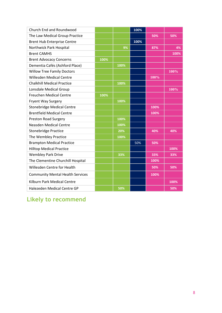| Church End and Roundwood                |      |      | 100% |      |      |
|-----------------------------------------|------|------|------|------|------|
| The Law Medical Group Practice          |      |      |      | 50%  | 50%  |
| <b>Brent Hub Enterprise Centre</b>      |      |      | 100% |      |      |
| Northwick Park Hospital                 |      | 9%   |      | 87%  | 4%   |
| <b>Brent CAMHS</b>                      |      |      |      |      | 100% |
| <b>Brent Advocacy Concerns</b>          | 100% |      |      |      |      |
| Dementia Cafés (Ashford Place)          |      | 100% |      |      |      |
| <b>Willow Tree Family Doctors</b>       |      |      |      |      | 100% |
| <b>Willesden Medical Centre</b>         |      |      |      | 100% |      |
| <b>Chalkhill Medical Practice</b>       |      | 100% |      |      |      |
| Lonsdale Medical Group                  |      |      |      |      | 100% |
| <b>Freuchen Medical Centre</b>          | 100% |      |      |      |      |
| <b>Fryent Way Surgery</b>               |      | 100% |      |      |      |
| <b>Stonebridge Medical Centre</b>       |      |      |      | 100% |      |
| <b>Brentfield Medical Centre</b>        |      |      |      | 100% |      |
| <b>Preston Road Surgery</b>             |      | 100% |      |      |      |
| <b>Neasden Medical Centre</b>           |      | 100% |      |      |      |
| <b>Stonebridge Practice</b>             |      | 20%  |      | 40%  | 40%  |
| The Wembley Practice                    |      | 100% |      |      |      |
| <b>Brampton Medical Practice</b>        |      |      | 50%  | 50%  |      |
| <b>Hilltop Medical Practice</b>         |      |      |      |      | 100% |
| <b>Wembley Park Drive</b>               |      | 33%  |      | 33%  | 33%  |
| The Clementine Churchill Hospital       |      |      |      | 100% |      |
| Willesden Centre for Health             |      |      |      | 50%  | 50%  |
| <b>Community Mental Health Services</b> |      |      |      | 100% |      |
| Kilburn Park Medical Centre             |      |      |      |      | 100% |
| Halezeden Medical Centre GP             |      | 50%  |      |      | 50%  |

<span id="page-7-0"></span>**Likely to recommend**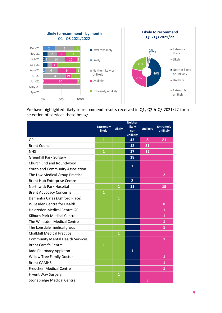

We have highlighted likely to recommend results received in Q1, Q2 & Q3 2021/22 for a selection of services these being:

|                                         | <b>Extremely</b><br><b>likely</b> | <b>Likely</b>           | <b>Neither</b><br>likely<br>nor<br>unlikely | <b>Unlikely</b> | <b>Extremely</b><br>unlikely |
|-----------------------------------------|-----------------------------------|-------------------------|---------------------------------------------|-----------------|------------------------------|
| GP                                      | $\mathbf{1}$                      |                         | 43                                          | 8               | 21                           |
| <b>Brent Council</b>                    |                                   |                         | 12                                          | 31              |                              |
| <b>NHS</b>                              | $\mathbf{1}$                      |                         | 17                                          | 12              |                              |
| <b>Greenhill Park Surgery</b>           |                                   |                         | 18                                          |                 |                              |
| Church End and Roundwood                |                                   |                         | 3                                           |                 |                              |
| Youth and Community Association         |                                   |                         |                                             |                 |                              |
| The Law Medical Group Practice          |                                   |                         |                                             |                 | $\overline{2}$               |
| <b>Brent Hub Enterprise Centre</b>      |                                   |                         | $\overline{2}$                              |                 |                              |
| Northwick Park Hospital                 |                                   | $\mathbf{1}$            | $\overline{11}$                             |                 | 19                           |
| <b>Brent Advocacy Concerns</b>          | $\mathbf{1}$                      |                         |                                             |                 |                              |
| Dementia Cafés (Ashford Place)          |                                   | $\overline{1}$          |                                             |                 |                              |
| Willesden Centre for Health             |                                   |                         |                                             |                 | 8                            |
| Halezeden Medical Centre GP             |                                   |                         |                                             |                 | $\mathbf{1}$                 |
| Kilburn Park Medical Centre             |                                   |                         |                                             |                 | $\mathbf{1}$                 |
| The Willesden Medical Centre            |                                   |                         |                                             |                 | $\mathbf{1}$                 |
| The Lonsdale medical group              |                                   |                         |                                             |                 | $\mathbf{1}$                 |
| <b>Chalkhill Medical Practice</b>       |                                   | $\mathbf{1}$            |                                             |                 |                              |
| <b>Community Mental Health Services</b> |                                   |                         |                                             |                 | $\mathbf{1}$                 |
| <b>Brent Carer's Centre</b>             | $\mathbf{1}$                      |                         |                                             |                 |                              |
| Jade Pharmacy Appleton                  |                                   |                         | $\mathbf{1}$                                |                 |                              |
| <b>Willow Tree Family Doctor</b>        |                                   |                         |                                             |                 | $\mathbf{1}$                 |
| <b>Brent CAMHS</b>                      |                                   |                         |                                             |                 | $\mathbf{1}$                 |
| <b>Freuchen Medical Centre</b>          |                                   |                         |                                             |                 | $\mathbf{1}$                 |
| Fryent Way Surgery                      |                                   | $\overline{\mathbf{1}}$ |                                             |                 |                              |
| <b>Stonebridge Medical Centre</b>       |                                   |                         |                                             | 3               |                              |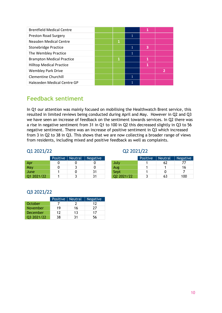| <b>Brentfield Medical Centre</b> |   | 1 |   |
|----------------------------------|---|---|---|
| <b>Preston Road Surgery</b>      |   |   |   |
| Neasden Medical Centre           | 1 |   |   |
| <b>Stonebridge Practice</b>      |   | 3 |   |
| The Wembley Practice             |   |   |   |
| <b>Brampton Medical Practice</b> | 1 |   |   |
| <b>Hilltop Medical Practice</b>  |   | 1 |   |
| <b>Wembley Park Drive</b>        |   |   | 2 |
| <b>Clementine Churchill</b>      |   |   |   |
| Halezeden Medical Centre GP      |   |   |   |

### <span id="page-9-0"></span>**Feedback sentiment**

In Q1 our attention was mainly focused on mobilising the Healthwatch Brent service, this resulted in limited reviews being conducted during April and May. However in Q2 and Q3 we have seen an increase of feedback on the sentiment towards services. In Q2 there was a rise in negative sentiment from 31 in Q1 to 100 in Q2 this decreased slightly in Q3 to 56 negative sentiment. There was an increase of positive sentiment in Q3 which increased from 3 in Q2 to 38 in Q3. This shows that we are now collecting a broader range of views from residents, including mixed and positive feedback as well as complaints.

#### Q1 2021/22

|                | Positive   Neutral | Negative |            | Positive | Neutral | Negat |
|----------------|--------------------|----------|------------|----------|---------|-------|
| Apr            |                    |          | July       |          | 62      | 77    |
| May            |                    |          | Aug        |          |         | 16    |
| June.          |                    | 31       | Sept       |          |         |       |
| 2021/22<br>M1. |                    | 31       | Q2 2021/22 |          |         | 10    |

| Q2 2021/22 |  |  |  |  |  |
|------------|--|--|--|--|--|
|------------|--|--|--|--|--|

|            | Positive | Neutral | Negative |            | Positive | <b>Neutral</b> | Negative |
|------------|----------|---------|----------|------------|----------|----------------|----------|
| Apr        |          |         |          | July       |          | 62             |          |
| Mav        |          |         |          | Aug        |          |                | 16       |
| June       |          |         | 31       | Sept       |          |                |          |
| Q1 2021/22 |          |         | 31       | Q2 2021/22 |          | 63             | 100      |

#### Q3 2021/22

|                 | <b>Positive</b> | Neutral, | <b>Negative</b> |
|-----------------|-----------------|----------|-----------------|
| October         |                 |          | 17              |
| <b>November</b> | 19              | 16       | 77              |
| December        | 12              | 13       | 17              |
| 03 2021/22      | 38              | ٦1       | 56              |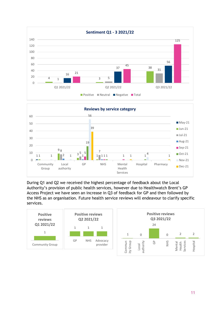



During Q1 and Q2 we received the highest percentage of feedback about the Local Authority's provision of public health services, however due to Healthwatch Brent's GP Access Project we have seen an increase in Q3 of feedback for GP and then followed by the NHS as an organisation. Future health service reviews will endeavour to clarify specific services.

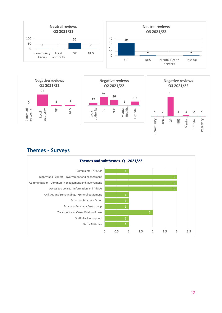



#### **Themes – Surveys**



Hospital

Pharmacy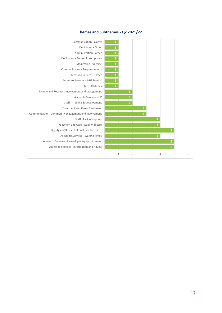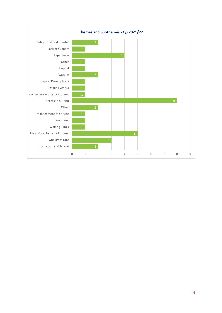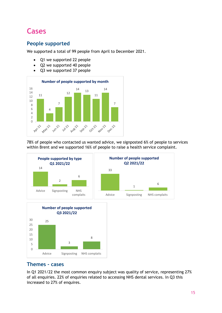# <span id="page-14-0"></span>**Cases**

#### **People supported**

We supported a total of 99 people from April to December 2021.

- Q1 we supported 22 people
- Q2 we supported 40 people
- Q3 we supported 37 people



78% of people who contacted us wanted advice, we signposted 6% of people to services within Brent and we supported 16% of people to raise a health service complaint.



#### **Themes - cases**

In Q1 2021/22 the most common enquiry subject was quality of service, representing 27% of all enquiries. 22% of enquiries related to accessing NHS dental services. In Q3 this increased to 27% of enquires.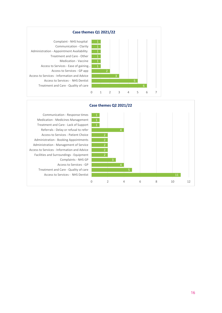



Access to Services - NHS Dentist Treatment and Care - Quality of care Access to Services - GP Complaints - NHS GP Facilities and Surroundings - Equipment Access to Services - Information and Advice Administration - Management of Service Administration - Booking Appointments Access to Services - Patient Choice Referrals - Delay or refusal to refer Treatment and Care - Lack of Support Medication - Medicines Management Communication - Response times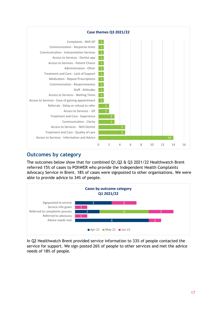

#### **Outcomes by category**

The outcomes below show that for combined Q1,Q2 & Q3 2021/22 Healthwatch Brent referred 15% of cases to POhWER who provide the Independent Health Complaints Advocacy Service in Brent. 18% of cases were signposted to other organisations. We were able to provide advice to 34% of people.



In Q2 Healthwatch Brent provided service information to 33% of people contacted the service for support. We sign posted 26% of people to other services and met the advice needs of 18% of people.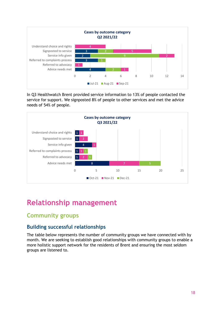

In Q3 Healthwatch Brent provided service information to 13% of people contacted the service for support. We signposted 8% of people to other services and met the advice needs of 54% of people.



# <span id="page-17-0"></span>**Relationship management**

### <span id="page-17-1"></span>**Community groups**

#### **Building successful relationships**

The table below represents the number of community groups we have connected with by month. We are seeking to establish good relationships with community groups to enable a more holistic support network for the residents of Brent and ensuring the most seldom groups are listened to.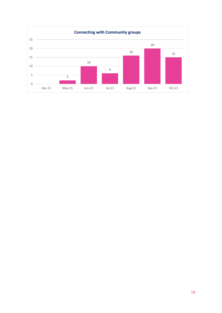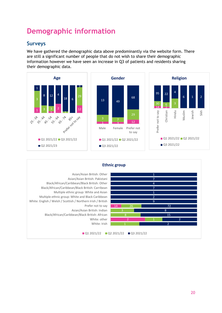# <span id="page-19-0"></span>**Demographic information**

#### **Surveys**

We have gathered the demographic data above predominantly via the website form. There are still a significant number of people that do not wish to share their demographic information however we have seen an increase in Q3 of patients and residents sharing their demographic data.



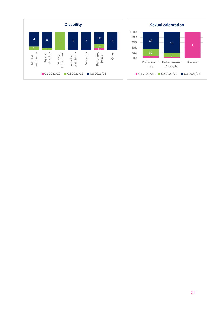

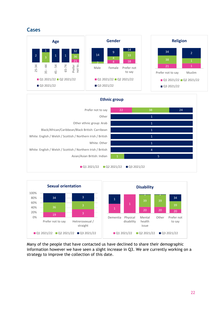#### **Cases**



| <b>Ethnic group</b>                                          |    |                |    |  |  |
|--------------------------------------------------------------|----|----------------|----|--|--|
| Prefer not to say                                            | 22 | 38             | 24 |  |  |
| Other                                                        |    | 1              |    |  |  |
| Other ethnic group: Arab                                     |    | $\mathbf{1}$   |    |  |  |
| Black/African/Caribbean/Black British: Carribean             |    | $\mathbf{1}$   |    |  |  |
| White: English / Welsh / Scottish / Northern Irish / British |    | $\mathbf{1}$   |    |  |  |
| White: Other                                                 |    | 1              |    |  |  |
| White: English / Welsh / Scottish / Northern Irish / British |    | $\overline{4}$ |    |  |  |
| Asian/Asian British: Indian                                  |    | $\overline{5}$ |    |  |  |
| Q1 2021/22<br>Q2 2021/22<br>Q3 2021/22                       |    |                |    |  |  |



Many of the people that have contacted us have declined to share their demographic information however we have seen a slight increase in Q3. We are currently working on a strategy to improve the collection of this date.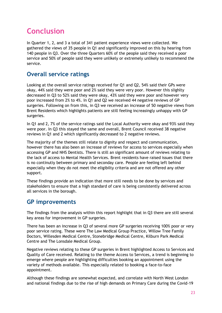# <span id="page-22-0"></span>**Conclusion**

In Quarter 1, 2, and 3 a total of 341 patient experience views were collected. We gathered the views of 35 people in Q1 and significantly improved on this by hearing from 140 people in Q3. Over the three Quarters 60% of the people said they received a poor service and 50% of people said they were unlikely or extremely unlikely to recommend the service.

### **Overall service ratings**

Looking at the overall service ratings received for Q1 and Q2, 54% said their GPs were okay, 44% said they were poor and 2% said they were very poor. However this slighlty decreased in Q3 to 52% said they were okay, 43% said they were poor and however very poor increased from 2% to 4%. In Q1 and Q2 we received 44 negative reviews of GP surgeries. Following on from this, in Q3 we received an increase of 50 negative views from Brent Residents which highlights patients are still feeling increasingly unhappy with GP surgeries.

In Q1 and 2, 7% of the service ratings said the Local Authority were okay and 93% said they were poor. In Q3 this stayed the same and overall, Brent Council received 38 negative reviews in Q1 and 2 which significantly decreased to 2 negative reviews.

The majority of the themes still relate to dignity and respect and communication, however there has also been an increase of reviews for access to services especially when accessing GP and NHS Dentists. There is still an significant amount of reviews relating to the lack of access to Mental Health Services. Brent residents have raised issues that there is no continutiy between primary and seconday care. People are feeling left behind especially when they do not meet the eligibilty criteria and are not offered any other support.

These findings provide an indication that more still needs to be done by services and stakeholders to ensure that a high standard of care is being consistently delivered across all services in the borough.

### **GP improvements**

The findings from the analysis within this report highlight that in Q3 there are still several key areas for improvement in GP surgeries.

There has been an increase in Q3 of several more GP surgeries receiving 100% poor or very poor service rating. These were The Law Medical Group Practice, Willow Tree Family Doctors, Willesden Medical Centre, Stonebridge Medical Centre, Kilburn Park Medical Centre and The Lonsdale Medical Group.

Negative reviews relating to these GP surgeries in Brent highlighted Access to Services and Quality of Care received. Relating to the theme Access to Services, a trend is beginning to emerge where people are highlighting difficulties booking an appointment using the variety of methods available. This especially related to booking a face-to-face appointment.

Although these findings are somewhat expected, and correlate with North West London and national findings due to the rise of high demands on Primary Care during the Covid-19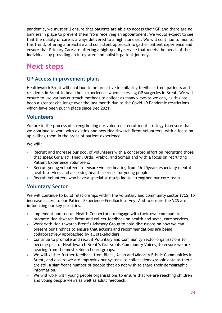pandemic, we must still ensure that patients are able to access their GP and there are no barriers in place to prevent them from receiving an appointment. We would expect to see that the quality of care is always delivered to a high standard. We will continue to monitor this trend, offering a proactive and consistent approach to gather patient experience and ensure that Primary Care are offering a high-quality service that meets the needs of the individuals by providing an integrated and holistic patient journey.

### **Next steps**

#### **GP Access improvement plans**

Healthwatch Brent will continue to be proactive in collating feedback from patients and residents in Brent to hear their experiences when accessing GP surgeries in Brent. We will ensure to use various outreach methods to collect as many views as we can, as this has been a greater challenge over the last month due to the Covid-19 Pandemic restrictions which have been put in place since Dec 2021.

#### **Volunteers**

We are in the process of strengthening our volunteer recruitment strategy to ensure that we **c**ontinue to work with existing and new Healthwatch Brent volunteers, with a focus on up-skilling them in the areas of patient experience.

We will:

- Recruit and increase our pool of volunteers with a concerted effort on recruiting those that speak Gujarati, Hindi, Urdu, Arabic, and Somali and with a focus on recruiting Patient Experience volunteers.
- Recruit young volunteers to ensure we are hearing from 16-25years especially mental health services and accessing health services for young people.
- $\triangleright$  Recruit volunteers who have a specialist discipline to strengthen our core team.

#### **Voluntary Sector**

We will continue to build relationships within the voluntary and community sector (VCS) to increase access to our Patient Experience Feedback survey. And to ensure the VCS are influencing our key priorities.

- $\triangleright$  Implement and recruit Health Connectors to engage with their own communities, promote Healthwatch Brent and collect feedback on health and social care services.
- Work with Healthwatch Brent's Advisory Group to hold discussions on how we can present our findings to ensure that actions and recommendations are being collaboratively approached by all stakeholders.
- Continue to promote and recruit Voluntary and Community Sector organisations to become part of Healthwatch Brent's Grassroots Community Voices, to ensure we are hearing from the most seldom heard groups.
- We will gather further feedback from Black, Asian and Minority Ethnic Communities in Brent, and ensure we are improving our systems to collect demographic data as there are still a significant number of people that do not wish to share their demographic information.
- We will work with young people organisations to ensure that we are reaching children and young people views as well as adult feedback.